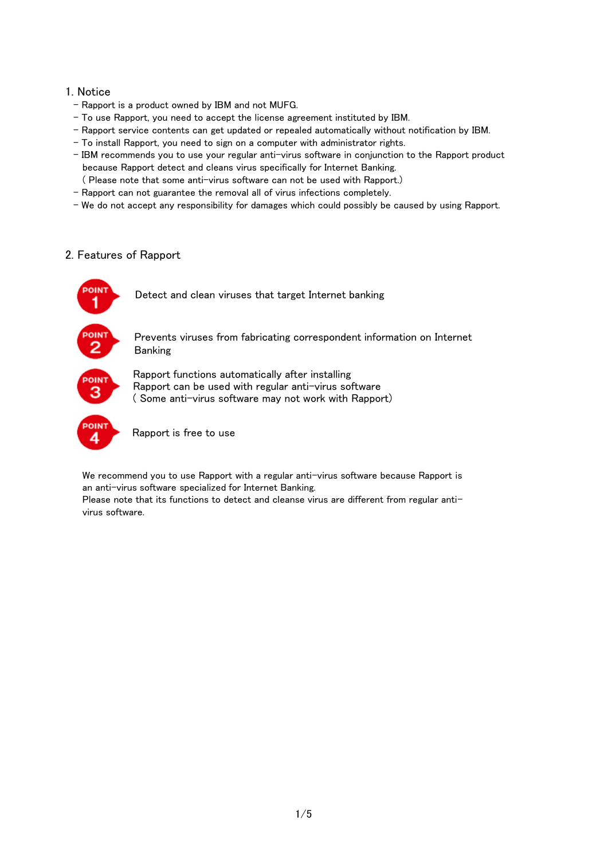#### 1. Notice

- Rapport is a product owned by IBM and not MUFG.
- To use Rapport, you need to accept the license agreement instituted by IBM.
- Rapport service contents can get updated or repealed automatically without notification by IBM.
- To install Rapport, you need to sign on a computer with administrator rights.
- IBM recommends you to use your regular anti-virus software in conjunction to the Rapport product because Rapport detect and cleans virus specifically for Internet Banking.
- ( Please note that some anti-virus software can not be used with Rapport.)
- Rapport can not guarantee the removal all of virus infections completely.
- We do not accept any responsibility for damages which could possibly be caused by using Rapport.

## 2. Features of Rapport



We recommend you to use Rapport with a regular anti-virus software because Rapport is an anti-virus software specialized for Internet Banking.

Please note that its functions to detect and cleanse virus are different from regular antivirus software.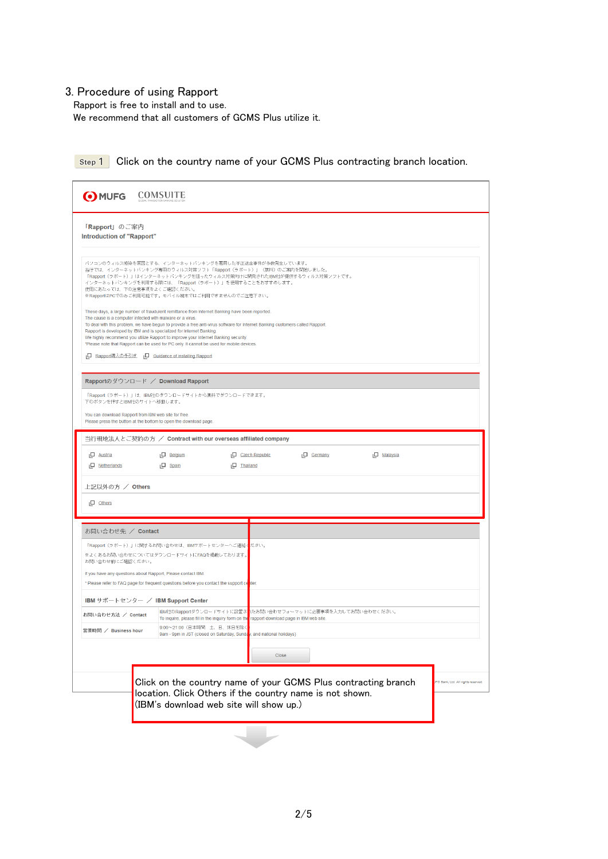## 3. Procedure of using Rapport

Rapport is free to install and to use.

We recommend that all customers of GCMS Plus utilize it.

| O MUFG COMSUITE                                                                                                          |                                                                                                                                                                                                                                 |                                                                                                       |
|--------------------------------------------------------------------------------------------------------------------------|---------------------------------------------------------------------------------------------------------------------------------------------------------------------------------------------------------------------------------|-------------------------------------------------------------------------------------------------------|
| 「 <b>Rapport</b> 」のご案内                                                                                                   |                                                                                                                                                                                                                                 |                                                                                                       |
| Introduction of "Rapport"                                                                                                |                                                                                                                                                                                                                                 |                                                                                                       |
| 使用にあたっては、下の注意事項をよくご確認ください。                                                                                               | バソコンのウィルス感染を原因とする、インターネットバンキングを悪用した不正送金事件が多数発生しています。<br>当行では、インターネットバンキング専用のウィルス対策ソフト「Rapport(ラボート)」(無料)のご案内を開始しました。<br>インターネットバンキングを利用する際には、「Rapport(ラボート)」を使用することをおすすめします。<br>※RapportはPCでのみご利用可能です。モバイル端末ではご利用できませんのでご注意下さい。 | 「Rapport (ラボート) 」はインターネットバンキングを狙ったウィルス対策向けに開発されたIBM社が提供するウィルス対策ソフトです。                                 |
| The cause is a computer infected with malware or a virus.                                                                | These days, a large number of fraudulent remittance from Internet Banking have been reported.                                                                                                                                   |                                                                                                       |
| Rapport is developed by IBM and is specialized for Internet Banking.                                                     | To deal with this problem, we have begun to provide a free anti-virus software for Internet Banking customers called Rapport.                                                                                                   |                                                                                                       |
|                                                                                                                          | We highly recommend you utilize Rapport to improve your Internet Banking security.<br>*Please note that Rapport can be used for PC only. It cannot be used for mobile devices.                                                  |                                                                                                       |
| □ Rapport導入の手引き □ Guidance of installing Rapport                                                                         |                                                                                                                                                                                                                                 |                                                                                                       |
| Rapportのダウンロード / Download Rapport                                                                                        |                                                                                                                                                                                                                                 |                                                                                                       |
| 下のボタンを押すとIBM社のサイトへ移動します。                                                                                                 | 「Rapport(ラボート)」は、IBM社のダウンロードサイトから無料でダウンロードできます。                                                                                                                                                                                 |                                                                                                       |
| You can download Rapport from IBM web site for free.<br>Please press the button at the bottom to open the download page. |                                                                                                                                                                                                                                 |                                                                                                       |
|                                                                                                                          | 当行現地法人とご契約の方 / Contract with our overseas affiliated company                                                                                                                                                                    |                                                                                                       |
| <sub>L</sub> □ Austria                                                                                                   | $\Box$ Belgium                                                                                                                                                                                                                  | Czech Republic<br>□ Germany<br>L <sup>I</sup> Malaysia                                                |
| Netherlands                                                                                                              | $\Box$ Spain<br><sub>I</sub> $\Box$ Thailand                                                                                                                                                                                    |                                                                                                       |
| 上記以外の方 / Others                                                                                                          |                                                                                                                                                                                                                                 |                                                                                                       |
| $\Box$ Others                                                                                                            |                                                                                                                                                                                                                                 |                                                                                                       |
|                                                                                                                          |                                                                                                                                                                                                                                 |                                                                                                       |
| お問い合わせ先 / Contact                                                                                                        |                                                                                                                                                                                                                                 |                                                                                                       |
|                                                                                                                          | <b>「Rapport(ラボート)」に関するお問い合わせは、IBMサボートセンターへご連絡本ださい。</b><br>※よくあるお問い合わせについてはダウンロードサイトにFAQを掲載しております。                                                                                                                               |                                                                                                       |
| お問い合わせ前にご確認ください。                                                                                                         |                                                                                                                                                                                                                                 |                                                                                                       |
| If you have any questions about Rapport, Please contact IBM.                                                             |                                                                                                                                                                                                                                 |                                                                                                       |
|                                                                                                                          | * Please refer to FAQ page for frequent questions before you contact the support center.                                                                                                                                        |                                                                                                       |
| IBM サポートセンター / IBM Support Center                                                                                        |                                                                                                                                                                                                                                 |                                                                                                       |
| お問い合わせ方法 / Contact                                                                                                       | To inquire, please fill in the inquiry form on the rapport download page in IBM web site.                                                                                                                                       | IBM社のRapportダウンロードサイトに設置さ <mark>い</mark> たお問い合わせフォーマットに必要事項を入力してお問い合わせください。                           |
| 営業時間 / Business hour                                                                                                     | 9:00~21:00 (日本時間 土、日、休日を除く<br>9am - 9pm in JST (closed on Saturday, Sunday, and national holidays)                                                                                                                              |                                                                                                       |
|                                                                                                                          |                                                                                                                                                                                                                                 | Close                                                                                                 |
|                                                                                                                          |                                                                                                                                                                                                                                 |                                                                                                       |
|                                                                                                                          |                                                                                                                                                                                                                                 | Click on the country name of your GCMS Plus contracting branch<br>IFG Bank, Ltd. All rights reserved. |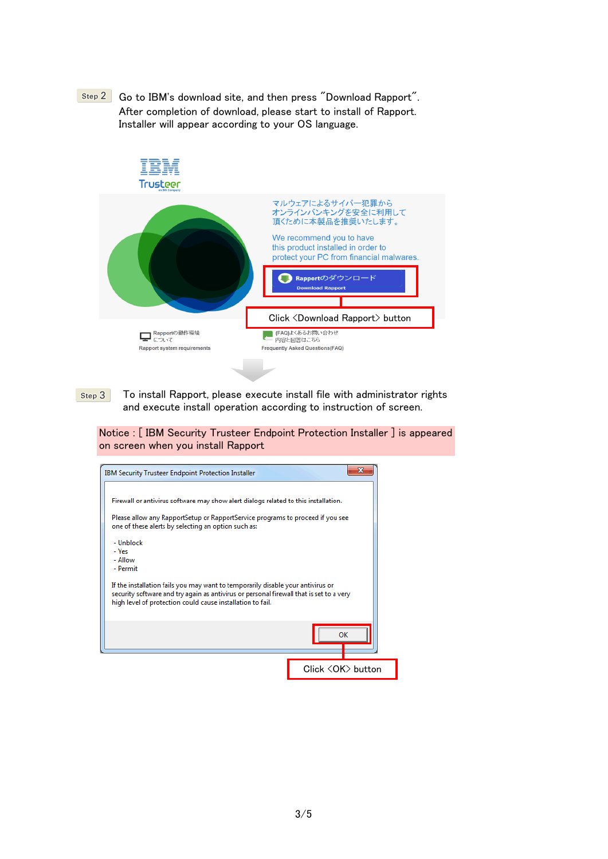



Step 3 To install Rapport, please execute install file with administrator rights and execute install operation according to instruction of screen.

Notice : [ IBM Security Trusteer Endpoint Protection Installer ] is appeared on screen when you install Rapport

| <b>IBM Security Trusteer Endpoint Protection Installer</b>                                                                                                                                                                               |                        |
|------------------------------------------------------------------------------------------------------------------------------------------------------------------------------------------------------------------------------------------|------------------------|
| Firewall or antivirus software may show alert dialogs related to this installation.<br>Please allow any RapportSetup or RapportService programs to proceed if you see                                                                    |                        |
| one of these alerts by selecting an option such as:<br>- Unblock<br>- Yes<br>- Allow<br>- Permit                                                                                                                                         |                        |
| If the installation fails you may want to temporarily disable your antivirus or<br>security software and try again as antivirus or personal firewall that is set to a very<br>high level of protection could cause installation to fail. |                        |
|                                                                                                                                                                                                                                          | OK                     |
|                                                                                                                                                                                                                                          | Click <ok> button</ok> |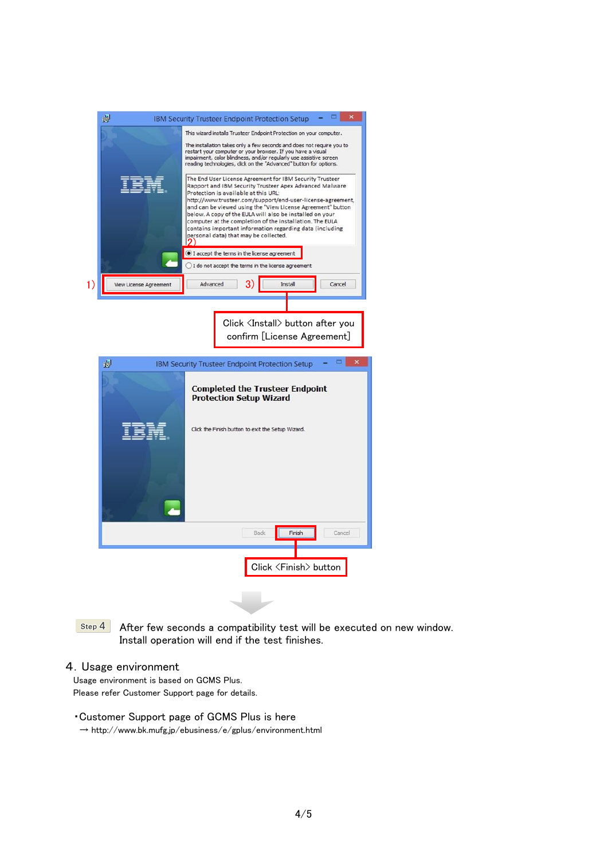| 谩                      | <b>IBM Security Trusteer Endpoint Protection Setup</b>                                                                                                                                                                                                                                                                                                                                                                                                                                                                 |
|------------------------|------------------------------------------------------------------------------------------------------------------------------------------------------------------------------------------------------------------------------------------------------------------------------------------------------------------------------------------------------------------------------------------------------------------------------------------------------------------------------------------------------------------------|
|                        | This wizard installs Trusteer Endpoint Protection on your computer.                                                                                                                                                                                                                                                                                                                                                                                                                                                    |
|                        | The installation takes only a few seconds and does not require you to<br>restart your computer or your browser. If you have a visual<br>impairment, color blindness, and/or regularly use assistive screen<br>reading technologies, click on the "Advanced" button for options.                                                                                                                                                                                                                                        |
|                        | The End User License Agreement for IBM Security Trusteer<br>Rapport and IBM Security Trusteer Apex Advanced Malware<br>Protection is available at this URL:<br>http://www.trusteer.com/support/end-user-license-agreement,<br>and can be viewed using the "View License Agreement" button<br>below. A copy of the EULA will also be installed on your<br>computer at the completion of the installation. The EULA<br>contains important information regarding data (including<br>personal data) that may be collected. |
|                        | I accept the terms in the license agreement<br>I do not accept the terms in the license agreement                                                                                                                                                                                                                                                                                                                                                                                                                      |
| View License Agreement | 3)<br>Advanced<br>Install<br>Cancel                                                                                                                                                                                                                                                                                                                                                                                                                                                                                    |
|                        |                                                                                                                                                                                                                                                                                                                                                                                                                                                                                                                        |
|                        | Click <install> button after you</install>                                                                                                                                                                                                                                                                                                                                                                                                                                                                             |
|                        | confirm [License Agreement]                                                                                                                                                                                                                                                                                                                                                                                                                                                                                            |
|                        |                                                                                                                                                                                                                                                                                                                                                                                                                                                                                                                        |
| 谩                      | <b>IBM Security Trusteer Endpoint Protection Setup</b>                                                                                                                                                                                                                                                                                                                                                                                                                                                                 |
|                        | <b>Completed the Trusteer Endpoint</b><br><b>Protection Setup Wizard</b>                                                                                                                                                                                                                                                                                                                                                                                                                                               |
| TEM                    | Click the Finish button to exit the Setup Wizard.                                                                                                                                                                                                                                                                                                                                                                                                                                                                      |
|                        |                                                                                                                                                                                                                                                                                                                                                                                                                                                                                                                        |
|                        |                                                                                                                                                                                                                                                                                                                                                                                                                                                                                                                        |
|                        | <b>Back</b><br>Finish<br>Cancel                                                                                                                                                                                                                                                                                                                                                                                                                                                                                        |
|                        | Click <finish> button</finish>                                                                                                                                                                                                                                                                                                                                                                                                                                                                                         |
|                        |                                                                                                                                                                                                                                                                                                                                                                                                                                                                                                                        |

Step 4 After few seconds a compatibility test will be executed on new window. Install operation will end if the test finishes.

## 4.Usage environment

Usage environment is based on GCMS Plus. Please refer Customer Support page for details.

#### ・Customer Support page of GCMS Plus is here

 $\rightarrow$ http://www.bk.mufg.jp/ebusiness/e/gplus/environment.html